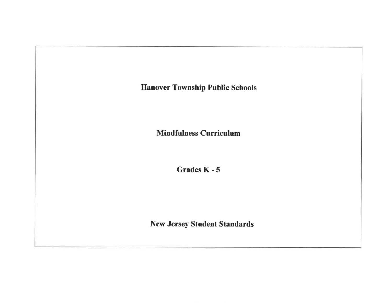

**Mindfulness Curriculum** 

Grades K - 5

**New Jersey Student Standards**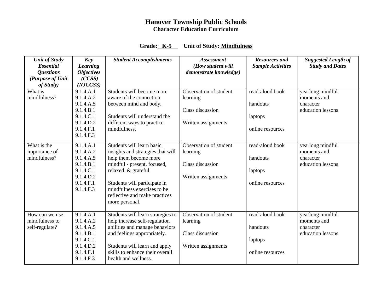# **Hanover Township Public Schools Character Education Curriculum**

# **Grade: K-5 Unit of Study: Mindfulness**

| <b>Unit of Study</b><br><b>Essential</b><br><b>Questions</b><br>(Purpose of Unit<br>of Study) | Key<br><b>Learning</b><br><b>Objectives</b><br>(CCSS)<br>(NJCCSS)                                    | <b>Student Accomplishments</b>                                                                                                                                                                                                                                   | <b>Assessment</b><br>(How student will<br>demonstrate knowledge)              | <b>Resources and</b><br><b>Sample Activities</b>           | <b>Suggested Length of</b><br><b>Study and Dates</b>              |
|-----------------------------------------------------------------------------------------------|------------------------------------------------------------------------------------------------------|------------------------------------------------------------------------------------------------------------------------------------------------------------------------------------------------------------------------------------------------------------------|-------------------------------------------------------------------------------|------------------------------------------------------------|-------------------------------------------------------------------|
| What is<br>mindfulness?                                                                       | 9.1.4.A.1<br>9.1.4.A.2<br>9.1.4.A.5<br>9.1.4.B.1<br>9.1.4.C.1<br>9.1.4.D.2<br>9.1.4.F.1<br>9.1.4.F.3 | Students will become more<br>aware of the connection<br>between mind and body.<br>Students will understand the<br>different ways to practice<br>mindfulness.                                                                                                     | Observation of student<br>learning<br>Class discussion<br>Written assignments | read-aloud book<br>handouts<br>laptops<br>online resources | yearlong mindful<br>moments and<br>character<br>education lessons |
| What is the<br>importance of<br>mindfulness?                                                  | 9.1.4.A.1<br>9.1.4.A.2<br>9.1.4.A.5<br>9.1.4.B.1<br>9.1.4.C.1<br>9.1.4.D.2<br>9.1.4.F.1<br>9.1.4.F.3 | Students will learn basic<br>insights and strategies that will<br>help them become more<br>mindful - present, focused,<br>relaxed, & grateful.<br>Students will participate in<br>mindfulness exercises to be<br>reflective and make practices<br>more personal. | Observation of student<br>learning<br>Class discussion<br>Written assignments | read-aloud book<br>handouts<br>laptops<br>online resources | yearlong mindful<br>moments and<br>character<br>education lessons |
| How can we use<br>mindfulness to<br>self-regulate?                                            | 9.1.4.A.1<br>9.1.4.A.2<br>9.1.4.A.5<br>9.1.4.B.1<br>9.1.4.C.1<br>9.1.4.D.2<br>9.1.4.F.1<br>9.1.4.F.3 | Students will learn strategies to<br>help increase self-regulation<br>abilities and manage behaviors<br>and feelings appropriately.<br>Students will learn and apply<br>skills to enhance their overall<br>health and wellness.                                  | Observation of student<br>learning<br>Class discussion<br>Written assignments | read-aloud book<br>handouts<br>laptops<br>online resources | yearlong mindful<br>moments and<br>character<br>education lessons |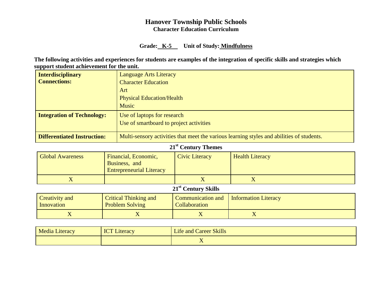### **Hanover Township Public Schools Character Education Curriculum**

### **Grade: K-5 Unit of Study: Mindfulness**

 **The following activities and experiences for students are examples of the integration of specific skills and strategies which support student achievement for the unit.**

| <b>Interdisciplinary</b>           | <b>Language Arts Literacy</b>                                                             |
|------------------------------------|-------------------------------------------------------------------------------------------|
| <b>Connections:</b>                | <b>Character Education</b>                                                                |
|                                    | Art                                                                                       |
|                                    | <b>Physical Education/Health</b>                                                          |
|                                    | <b>Music</b>                                                                              |
| <b>Integration of Technology:</b>  | Use of laptops for research                                                               |
|                                    | Use of smartboard to project activities                                                   |
| <b>Differentiated Instruction:</b> | Multi-sensory activities that meet the various learning styles and abilities of students. |

## **21st Century Themes**

| <b>Global Awareness</b> | Financial, Economic,<br>Business, and<br><b>Entrepreneurial Literacy</b> | Civic Literacy | <b>Health Literacy</b> |
|-------------------------|--------------------------------------------------------------------------|----------------|------------------------|
|                         |                                                                          |                |                        |

# **21st Century Skills**

| <b>Creativity and</b> | <b>Critical Thinking and</b> | Communication and    | <b>Information Literacy</b> |
|-----------------------|------------------------------|----------------------|-----------------------------|
| Innovation            | <b>Problem Solving</b>       | <b>Collaboration</b> |                             |
|                       |                              | ∡⊾                   |                             |

| <b>Media Literacy</b> | $\cdot$ ICT<br>$\blacktriangle$ ateracy | <b>Life and Career Skills</b> |
|-----------------------|-----------------------------------------|-------------------------------|
|                       |                                         | - -<br>. .                    |